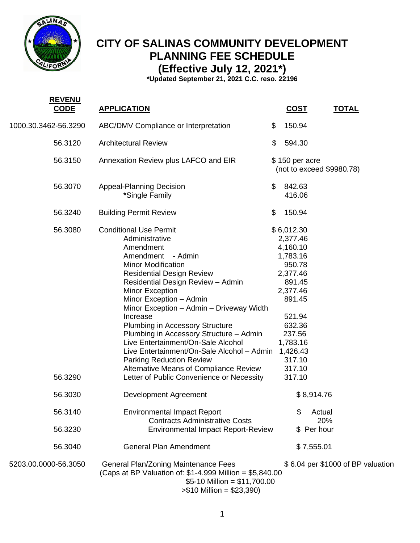

**REVENUE** 

## **CITY OF SALINAS COMMUNITY DEVELOPMENT PLANNING FEE SCHEDULE (Effective July 12, 2021\*)**

**\*Updated September 21, 2021 C.C. reso. 22196**

| <u>KEVENU</u><br><b>CODE</b> | <b>APPLICATION</b>                                                                                                                                                                                                                                                                                                                                                                                                                                                                                                                                                                           | <u>COST</u>                                                                                                                                                                              | <b>TOTAL</b>                      |  |
|------------------------------|----------------------------------------------------------------------------------------------------------------------------------------------------------------------------------------------------------------------------------------------------------------------------------------------------------------------------------------------------------------------------------------------------------------------------------------------------------------------------------------------------------------------------------------------------------------------------------------------|------------------------------------------------------------------------------------------------------------------------------------------------------------------------------------------|-----------------------------------|--|
| 1000.30.3462-56.3290         | ABC/DMV Compliance or Interpretation                                                                                                                                                                                                                                                                                                                                                                                                                                                                                                                                                         | \$<br>150.94                                                                                                                                                                             |                                   |  |
| 56.3120                      | <b>Architectural Review</b>                                                                                                                                                                                                                                                                                                                                                                                                                                                                                                                                                                  | \$<br>594.30                                                                                                                                                                             |                                   |  |
| 56.3150                      | Annexation Review plus LAFCO and EIR                                                                                                                                                                                                                                                                                                                                                                                                                                                                                                                                                         | $$150$ per acre                                                                                                                                                                          | (not to exceed \$9980.78)         |  |
| 56.3070                      | <b>Appeal-Planning Decision</b><br>*Single Family                                                                                                                                                                                                                                                                                                                                                                                                                                                                                                                                            | \$<br>842.63<br>416.06                                                                                                                                                                   |                                   |  |
| 56.3240                      | <b>Building Permit Review</b>                                                                                                                                                                                                                                                                                                                                                                                                                                                                                                                                                                | \$<br>150.94                                                                                                                                                                             |                                   |  |
| 56.3080<br>56.3290           | <b>Conditional Use Permit</b><br>Administrative<br>Amendment<br>Amendment<br>- Admin<br><b>Minor Modification</b><br><b>Residential Design Review</b><br>Residential Design Review - Admin<br>Minor Exception<br>Minor Exception - Admin<br>Minor Exception - Admin - Driveway Width<br>Increase<br>Plumbing in Accessory Structure<br>Plumbing in Accessory Structure - Admin<br>Live Entertainment/On-Sale Alcohol<br>Live Entertainment/On-Sale Alcohol - Admin<br><b>Parking Reduction Review</b><br>Alternative Means of Compliance Review<br>Letter of Public Convenience or Necessity | \$6,012.30<br>2,377.46<br>4,160.10<br>1,783.16<br>950.78<br>2,377.46<br>891.45<br>2,377.46<br>891.45<br>521.94<br>632.36<br>237.56<br>1,783.16<br>1,426.43<br>317.10<br>317.10<br>317.10 |                                   |  |
| 56.3030                      | Development Agreement                                                                                                                                                                                                                                                                                                                                                                                                                                                                                                                                                                        |                                                                                                                                                                                          | \$8,914.76                        |  |
| 56.3140                      | <b>Environmental Impact Report</b><br><b>Contracts Administrative Costs</b>                                                                                                                                                                                                                                                                                                                                                                                                                                                                                                                  | \$                                                                                                                                                                                       | Actual<br>20%                     |  |
| 56.3230                      | <b>Environmental Impact Report-Review</b>                                                                                                                                                                                                                                                                                                                                                                                                                                                                                                                                                    |                                                                                                                                                                                          | \$ Per hour                       |  |
| 56.3040                      | <b>General Plan Amendment</b>                                                                                                                                                                                                                                                                                                                                                                                                                                                                                                                                                                |                                                                                                                                                                                          | \$7,555.01                        |  |
| 5203.00.0000-56.3050         | <b>General Plan/Zoning Maintenance Fees</b><br>(Caps at BP Valuation of: $$1-4.999$ Million = $$5,840.00$<br>$$5-10$ Million = \$11,700.00<br>$> $10$ Million = \$23,390)                                                                                                                                                                                                                                                                                                                                                                                                                    |                                                                                                                                                                                          | \$6.04 per \$1000 of BP valuation |  |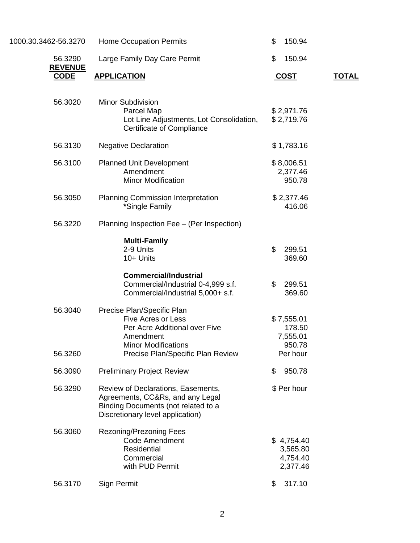| 1000.30.3462-56.3270          | <b>Home Occupation Permits</b>                                                                                                                                           | \$<br>150.94                                           |              |
|-------------------------------|--------------------------------------------------------------------------------------------------------------------------------------------------------------------------|--------------------------------------------------------|--------------|
| 56.3290                       | Large Family Day Care Permit                                                                                                                                             | \$<br>150.94                                           |              |
| <b>REVENUE</b><br><b>CODE</b> | <b>APPLICATION</b>                                                                                                                                                       | <u>COST</u>                                            | <b>TOTAL</b> |
| 56.3020                       | <b>Minor Subdivision</b><br>Parcel Map<br>Lot Line Adjustments, Lot Consolidation,<br>Certificate of Compliance                                                          | \$2,971.76<br>\$2,719.76                               |              |
| 56.3130                       | <b>Negative Declaration</b>                                                                                                                                              | \$1,783.16                                             |              |
| 56.3100                       | <b>Planned Unit Development</b><br>Amendment<br><b>Minor Modification</b>                                                                                                | \$8,006.51<br>2,377.46<br>950.78                       |              |
| 56.3050                       | <b>Planning Commission Interpretation</b><br>*Single Family                                                                                                              | \$2,377.46<br>416.06                                   |              |
| 56.3220                       | Planning Inspection Fee - (Per Inspection)                                                                                                                               |                                                        |              |
|                               | <b>Multi-Family</b><br>2-9 Units<br>10+ Units<br><b>Commercial/Industrial</b><br>Commercial/Industrial 0-4,999 s.f.                                                      | \$<br>299.51<br>369.60<br>\$<br>299.51                 |              |
|                               | Commercial/Industrial 5,000+ s.f.                                                                                                                                        | 369.60                                                 |              |
| 56.3040<br>56.3260            | Precise Plan/Specific Plan<br><b>Five Acres or Less</b><br>Per Acre Additional over Five<br>Amendment<br><b>Minor Modifications</b><br>Precise Plan/Specific Plan Review | \$7,555.01<br>178.50<br>7,555.01<br>950.78<br>Per hour |              |
| 56.3090                       | <b>Preliminary Project Review</b>                                                                                                                                        | \$<br>950.78                                           |              |
| 56.3290                       | Review of Declarations, Easements,<br>Agreements, CC&Rs, and any Legal<br>Binding Documents (not related to a<br>Discretionary level application)                        | \$ Per hour                                            |              |
| 56.3060                       | <b>Rezoning/Prezoning Fees</b><br><b>Code Amendment</b><br>Residential<br>Commercial<br>with PUD Permit                                                                  | \$4,754.40<br>3,565.80<br>4,754.40<br>2,377.46         |              |
| 56.3170                       | Sign Permit                                                                                                                                                              | 317.10<br>\$                                           |              |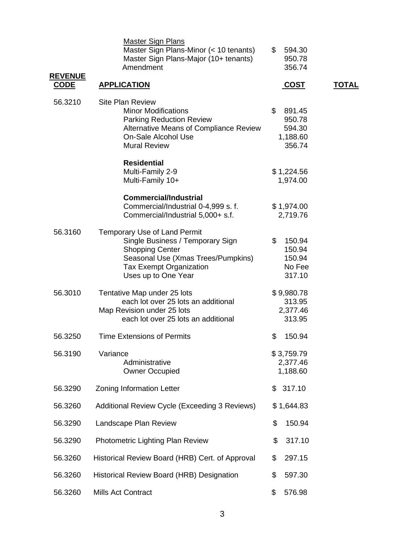| <b>REVENUE</b> | <b>Master Sign Plans</b><br>Master Sign Plans-Minor (< 10 tenants)<br>Master Sign Plans-Major (10+ tenants)<br>Amendment                                                                         | \$<br>594.30<br>950.78<br>356.74                       |              |
|----------------|--------------------------------------------------------------------------------------------------------------------------------------------------------------------------------------------------|--------------------------------------------------------|--------------|
| <u>CODE</u>    | <b>APPLICATION</b>                                                                                                                                                                               | <u>COST</u>                                            | <u>TOTAL</u> |
| 56.3210        | <b>Site Plan Review</b><br><b>Minor Modifications</b><br><b>Parking Reduction Review</b><br>Alternative Means of Compliance Review<br>On-Sale Alcohol Use<br><b>Mural Review</b>                 | \$<br>891.45<br>950.78<br>594.30<br>1,188.60<br>356.74 |              |
|                | <b>Residential</b><br>Multi-Family 2-9<br>Multi-Family 10+                                                                                                                                       | \$1,224.56<br>1,974.00                                 |              |
|                | <b>Commercial/Industrial</b><br>Commercial/Industrial 0-4,999 s. f.<br>Commercial/Industrial 5,000+ s.f.                                                                                         | \$1,974.00<br>2,719.76                                 |              |
| 56.3160        | <b>Temporary Use of Land Permit</b><br>Single Business / Temporary Sign<br><b>Shopping Center</b><br>Seasonal Use (Xmas Trees/Pumpkins)<br><b>Tax Exempt Organization</b><br>Uses up to One Year | \$<br>150.94<br>150.94<br>150.94<br>No Fee<br>317.10   |              |
| 56.3010        | Tentative Map under 25 lots<br>each lot over 25 lots an additional<br>Map Revision under 25 lots<br>each lot over 25 lots an additional                                                          | \$9,980.78<br>313.95<br>2,377.46<br>313.95             |              |
| 56.3250        | <b>Time Extensions of Permits</b>                                                                                                                                                                | \$<br>150.94                                           |              |
| 56.3190        | Variance<br>Administrative<br><b>Owner Occupied</b>                                                                                                                                              | \$3,759.79<br>2,377.46<br>1,188.60                     |              |
| 56.3290        | <b>Zoning Information Letter</b>                                                                                                                                                                 | 317.10<br>\$                                           |              |
| 56.3260        | Additional Review Cycle (Exceeding 3 Reviews)                                                                                                                                                    | \$1,644.83                                             |              |
| 56.3290        | Landscape Plan Review                                                                                                                                                                            | \$<br>150.94                                           |              |
| 56.3290        | Photometric Lighting Plan Review                                                                                                                                                                 | \$<br>317.10                                           |              |
| 56.3260        | Historical Review Board (HRB) Cert. of Approval                                                                                                                                                  | \$<br>297.15                                           |              |
| 56.3260        | Historical Review Board (HRB) Designation                                                                                                                                                        | \$<br>597.30                                           |              |
| 56.3260        | <b>Mills Act Contract</b>                                                                                                                                                                        | \$<br>576.98                                           |              |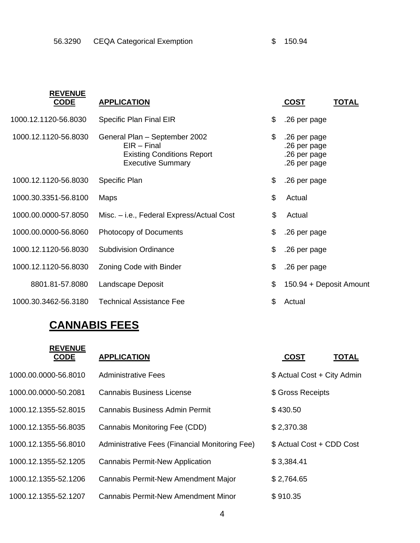| <b>REVENUE</b><br><b>CODE</b> | <b>APPLICATION</b>                                                                                              | <u>COST</u>                                                        | <b>TOTAL</b> |
|-------------------------------|-----------------------------------------------------------------------------------------------------------------|--------------------------------------------------------------------|--------------|
| 1000.12.1120-56.8030          | Specific Plan Final EIR                                                                                         | \$<br>.26 per page                                                 |              |
| 1000.12.1120-56.8030          | General Plan - September 2002<br>$EIR - Final$<br><b>Existing Conditions Report</b><br><b>Executive Summary</b> | \$<br>.26 per page<br>.26 per page<br>.26 per page<br>.26 per page |              |
| 1000.12.1120-56.8030          | Specific Plan                                                                                                   | \$<br>.26 per page                                                 |              |
| 1000.30.3351-56.8100          | Maps                                                                                                            | \$<br>Actual                                                       |              |
| 1000.00.0000-57.8050          | Misc. – i.e., Federal Express/Actual Cost                                                                       | \$<br>Actual                                                       |              |
| 1000.00.0000-56.8060          | Photocopy of Documents                                                                                          | \$<br>.26 per page                                                 |              |
| 1000.12.1120-56.8030          | <b>Subdivision Ordinance</b>                                                                                    | \$<br>.26 per page                                                 |              |
| 1000.12.1120-56.8030          | Zoning Code with Binder                                                                                         | \$<br>.26 per page                                                 |              |
| 8801.81-57.8080               | Landscape Deposit                                                                                               | \$<br>150.94 + Deposit Amount                                      |              |
| 1000.30.3462-56.3180          | <b>Technical Assistance Fee</b>                                                                                 | \$<br>Actual                                                       |              |

## **CANNABIS FEES**

| <b>REVENUE</b><br><b>CODE</b> | <b>APPLICATION</b>                             | <b>COST</b><br><b>TOTAL</b> |  |
|-------------------------------|------------------------------------------------|-----------------------------|--|
| 1000.00.0000-56.8010          | Administrative Fees                            | \$ Actual Cost + City Admin |  |
| 1000.00.0000-50.2081          | <b>Cannabis Business License</b>               | \$ Gross Receipts           |  |
| 1000.12.1355-52.8015          | Cannabis Business Admin Permit                 | \$430.50                    |  |
| 1000.12.1355-56.8035          | Cannabis Monitoring Fee (CDD)                  | \$2,370.38                  |  |
| 1000.12.1355-56.8010          | Administrative Fees (Financial Monitoring Fee) | \$ Actual Cost + CDD Cost   |  |
| 1000.12.1355-52.1205          | <b>Cannabis Permit-New Application</b>         | \$3,384.41                  |  |
| 1000.12.1355-52.1206          | Cannabis Permit-New Amendment Major            | \$2,764.65                  |  |
| 1000.12.1355-52.1207          | <b>Cannabis Permit-New Amendment Minor</b>     | \$910.35                    |  |